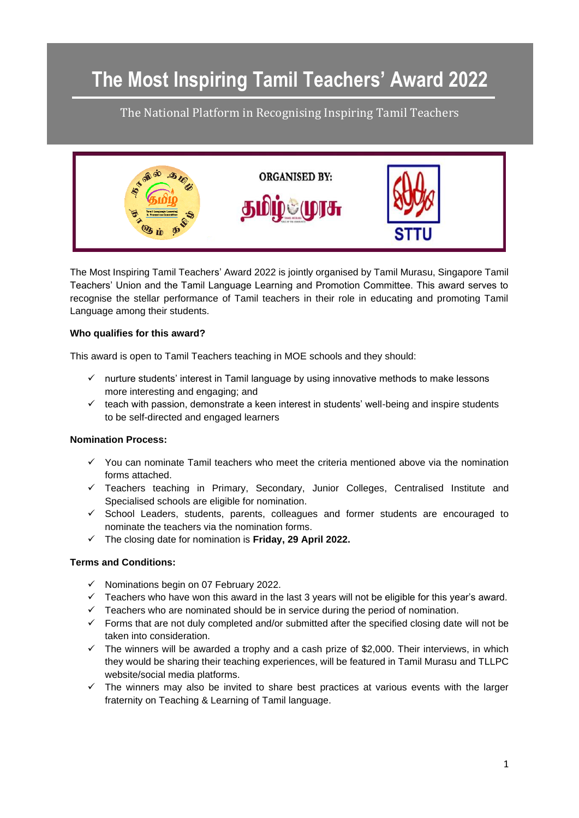## **The Most Inspiring Tamil Teachers' Award 2022**

The National Platform in Recognising Inspiring Tamil Teachers



The Most Inspiring Tamil Teachers' Award 2022 is jointly organised by Tamil Murasu, Singapore Tamil Teachers' Union and the Tamil Language Learning and Promotion Committee. This award serves to recognise the stellar performance of Tamil teachers in their role in educating and promoting Tamil Language among their students.

#### **Who qualifies for this award?**

This award is open to Tamil Teachers teaching in MOE schools and they should:

- ✓ nurture students' interest in Tamil language by using innovative methods to make lessons more interesting and engaging; and
- $\checkmark$  teach with passion, demonstrate a keen interest in students' well-being and inspire students to be self-directed and engaged learners

#### **Nomination Process:**

- $\checkmark$  You can nominate Tamil teachers who meet the criteria mentioned above via the nomination forms attached.
- $\checkmark$  Teachers teaching in Primary, Secondary, Junior Colleges, Centralised Institute and Specialised schools are eligible for nomination.
- $\checkmark$  School Leaders, students, parents, colleagues and former students are encouraged to nominate the teachers via the nomination forms.
- ✓ The closing date for nomination is **Friday, 29 April 2022.**

#### **Terms and Conditions:**

- ✓ Nominations begin on 07 February 2022.
- $\checkmark$  Teachers who have won this award in the last 3 years will not be eligible for this year's award.
- $\checkmark$  Teachers who are nominated should be in service during the period of nomination.
- $\checkmark$  Forms that are not duly completed and/or submitted after the specified closing date will not be taken into consideration.
- $\checkmark$  The winners will be awarded a trophy and a cash prize of \$2,000. Their interviews, in which they would be sharing their teaching experiences, will be featured in Tamil Murasu and TLLPC website/social media platforms.
- ✓ The winners may also be invited to share best practices at various events with the larger fraternity on Teaching & Learning of Tamil language.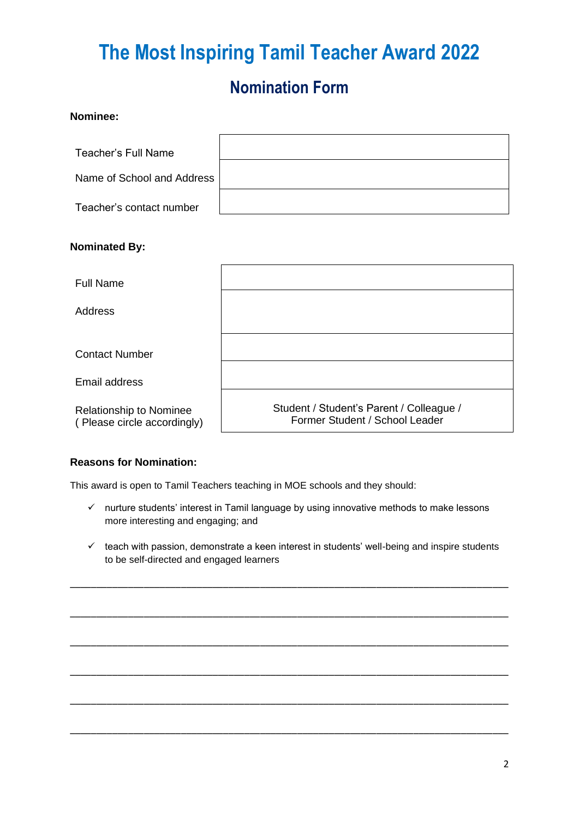# **The Most Inspiring Tamil Teacher Award 2022**

### **Nomination Form**

| Nominee:                                               |                                                                            |
|--------------------------------------------------------|----------------------------------------------------------------------------|
| <b>Teacher's Full Name</b>                             |                                                                            |
| Name of School and Address                             |                                                                            |
| Teacher's contact number                               |                                                                            |
| <b>Nominated By:</b>                                   |                                                                            |
| <b>Full Name</b>                                       |                                                                            |
| <b>Address</b>                                         |                                                                            |
| <b>Contact Number</b><br>Email address                 |                                                                            |
| Relationship to Nominee<br>(Please circle accordingly) | Student / Student's Parent / Colleague /<br>Former Student / School Leader |

### **Reasons for Nomination:**

This award is open to Tamil Teachers teaching in MOE schools and they should:

- ✓ nurture students' interest in Tamil language by using innovative methods to make lessons more interesting and engaging; and
- ✓ teach with passion, demonstrate a keen interest in students' well-being and inspire students to be self-directed and engaged learners

\_\_\_\_\_\_\_\_\_\_\_\_\_\_\_\_\_\_\_\_\_\_\_\_\_\_\_\_\_\_\_\_\_\_\_\_\_\_\_\_\_\_\_\_\_\_\_\_\_\_\_\_\_\_\_\_\_\_\_\_\_\_\_\_\_\_\_\_\_\_\_\_\_\_\_\_\_\_\_\_\_\_\_

\_\_\_\_\_\_\_\_\_\_\_\_\_\_\_\_\_\_\_\_\_\_\_\_\_\_\_\_\_\_\_\_\_\_\_\_\_\_\_\_\_\_\_\_\_\_\_\_\_\_\_\_\_\_\_\_\_\_\_\_\_\_\_\_\_\_\_\_\_\_\_\_\_\_\_\_\_\_\_\_\_\_\_

\_\_\_\_\_\_\_\_\_\_\_\_\_\_\_\_\_\_\_\_\_\_\_\_\_\_\_\_\_\_\_\_\_\_\_\_\_\_\_\_\_\_\_\_\_\_\_\_\_\_\_\_\_\_\_\_\_\_\_\_\_\_\_\_\_\_\_\_\_\_\_\_\_\_\_\_\_\_\_\_\_\_\_

\_\_\_\_\_\_\_\_\_\_\_\_\_\_\_\_\_\_\_\_\_\_\_\_\_\_\_\_\_\_\_\_\_\_\_\_\_\_\_\_\_\_\_\_\_\_\_\_\_\_\_\_\_\_\_\_\_\_\_\_\_\_\_\_\_\_\_\_\_\_\_\_\_\_\_\_\_\_\_\_\_\_\_

\_\_\_\_\_\_\_\_\_\_\_\_\_\_\_\_\_\_\_\_\_\_\_\_\_\_\_\_\_\_\_\_\_\_\_\_\_\_\_\_\_\_\_\_\_\_\_\_\_\_\_\_\_\_\_\_\_\_\_\_\_\_\_\_\_\_\_\_\_\_\_\_\_\_\_\_\_\_\_\_\_\_\_

\_\_\_\_\_\_\_\_\_\_\_\_\_\_\_\_\_\_\_\_\_\_\_\_\_\_\_\_\_\_\_\_\_\_\_\_\_\_\_\_\_\_\_\_\_\_\_\_\_\_\_\_\_\_\_\_\_\_\_\_\_\_\_\_\_\_\_\_\_\_\_\_\_\_\_\_\_\_\_\_\_\_\_